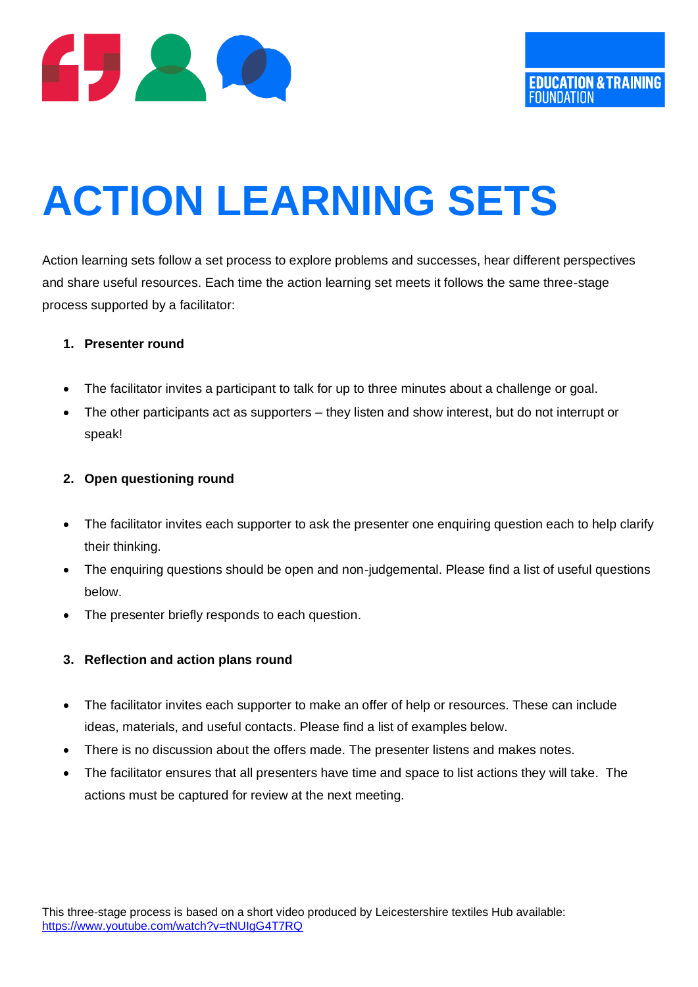

# **ACTION LEARNING SETS**

Action learning sets follow a set process to explore problems and successes, hear different perspectives and share useful resources. Each time the action learning set meets it follows the same three-stage process supported by a facilitator:

#### **1. Presenter round**

- The facilitator invites a participant to talk for up to three minutes about a challenge or goal.
- The other participants act as supporters they listen and show interest, but do not interrupt or speak!

#### **2. Open questioning round**

- The facilitator invites each supporter to ask the presenter one enquiring question each to help clarify their thinking.
- The enquiring questions should be open and non-judgemental. Please find a list of useful questions below.
- The presenter briefly responds to each question.

## **3. Reflection and action plans round**

- The facilitator invites each supporter to make an offer of help or resources. These can include ideas, materials, and useful contacts. Please find a list of examples below.
- There is no discussion about the offers made. The presenter listens and makes notes.
- The facilitator ensures that all presenters have time and space to list actions they will take. The actions must be captured for review at the next meeting.